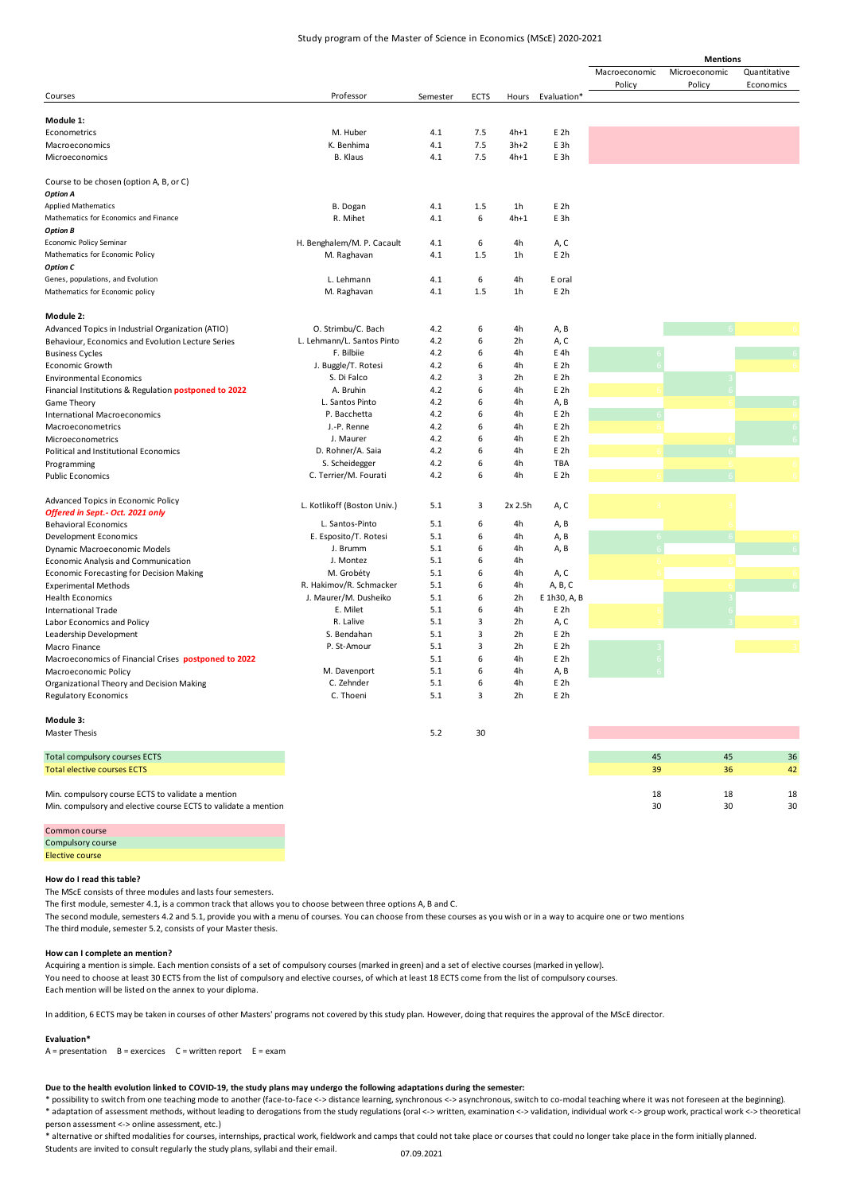## Study program of the Master of Science in Economics (MScE) 2020-2021

|                                                                |                             |          |             |         |                 | <b>Mentions</b> |               |              |    |
|----------------------------------------------------------------|-----------------------------|----------|-------------|---------|-----------------|-----------------|---------------|--------------|----|
|                                                                |                             |          |             |         |                 | Macroeconomic   | Microeconomic | Quantitative |    |
|                                                                |                             |          |             |         |                 | Policy          | Policy        | Economics    |    |
| Courses                                                        | Professor                   | Semester | <b>ECTS</b> | Hours   | Evaluation*     |                 |               |              |    |
|                                                                |                             |          |             |         |                 |                 |               |              |    |
| Module 1:                                                      |                             |          |             |         |                 |                 |               |              |    |
| Econometrics                                                   | M. Huber                    | 4.1      | 7.5         | $4h+1$  | E <sub>2h</sub> |                 |               |              |    |
| Macroeconomics                                                 | K. Benhima                  | 4.1      | 7.5         | $3h+2$  | E 3h            |                 |               |              |    |
| Microeconomics                                                 | B. Klaus                    | 4.1      | 7.5         | $4h+1$  | E 3h            |                 |               |              |    |
|                                                                |                             |          |             |         |                 |                 |               |              |    |
| Course to be chosen (option A, B, or C)                        |                             |          |             |         |                 |                 |               |              |    |
| <b>Option A</b>                                                |                             |          |             |         |                 |                 |               |              |    |
| <b>Applied Mathematics</b>                                     | B. Dogan                    | 4.1      | 1.5         | 1h      | E 2h            |                 |               |              |    |
| Mathematics for Economics and Finance                          | R. Mihet                    | 4.1      | 6           | $4h+1$  | E 3h            |                 |               |              |    |
| <b>Option B</b>                                                |                             |          |             |         |                 |                 |               |              |    |
| Economic Policy Seminar                                        | H. Benghalem/M. P. Cacault  | 4.1      | 6           | 4h      | A, C            |                 |               |              |    |
| Mathematics for Economic Policy                                | M. Raghavan                 | 4.1      | 1.5         | 1h      | E 2h            |                 |               |              |    |
| <b>Option C</b>                                                |                             |          |             |         |                 |                 |               |              |    |
| Genes, populations, and Evolution                              | L. Lehmann                  | 4.1      | 6           | 4h      | E oral          |                 |               |              |    |
| Mathematics for Economic policy                                | M. Raghavan                 | 4.1      | 1.5         | 1h      | E <sub>2h</sub> |                 |               |              |    |
|                                                                |                             |          |             |         |                 |                 |               |              |    |
| Module 2:                                                      |                             |          |             |         |                 |                 |               |              |    |
| Advanced Topics in Industrial Organization (ATIO)              | O. Strimbu/C. Bach          | 4.2      | 6           | 4h      | A, B            |                 |               |              |    |
| Behaviour, Economics and Evolution Lecture Series              | L. Lehmann/L. Santos Pinto  | 4.2      | 6           | 2h      | A, C            |                 |               |              |    |
| <b>Business Cycles</b>                                         | F. Bilbiie                  | 4.2      | 6           | 4h      | E 4h            |                 |               |              |    |
| Economic Growth                                                | J. Buggle/T. Rotesi         | 4.2      | 6           | 4h      | E <sub>2h</sub> |                 |               |              |    |
| <b>Environmental Economics</b>                                 | S. Di Falco                 | 4.2      | 3           | 2h      | E <sub>2h</sub> |                 |               |              |    |
| Financial Institutions & Regulation postponed to 2022          | A. Bruhin                   | 4.2      | 6           | 4h      | E 2h            |                 |               |              |    |
| Game Theory                                                    | L. Santos Pinto             | 4.2      | 6           | 4h      | A, B            |                 |               |              |    |
| <b>International Macroeconomics</b>                            | P. Bacchetta                | 4.2      | 6           | 4h      | E <sub>2h</sub> |                 |               |              |    |
| Macroeconometrics                                              | J.-P. Renne                 | 4.2      | 6           | 4h      | E <sub>2h</sub> |                 |               |              |    |
| Microeconometrics                                              | J. Maurer                   | 4.2      | 6           | 4h      | E <sub>2h</sub> |                 |               |              |    |
| Political and Institutional Economics                          | D. Rohner/A. Saia           | 4.2      | 6           | 4h      | E <sub>2h</sub> |                 |               |              |    |
| Programming                                                    | S. Scheidegger              | 4.2      | 6           | 4h      | TBA             |                 |               |              |    |
| <b>Public Economics</b>                                        | C. Terrier/M. Fourati       | 4.2      | 6           | 4h      | E <sub>2h</sub> |                 |               |              |    |
|                                                                |                             |          |             |         |                 |                 |               |              |    |
| Advanced Topics in Economic Policy                             |                             |          |             |         |                 |                 |               |              |    |
| Offered in Sept.- Oct. 2021 only                               | L. Kotlikoff (Boston Univ.) | 5.1      | 3           | 2x 2.5h | A, C            |                 |               |              |    |
| <b>Behavioral Economics</b>                                    | L. Santos-Pinto             | 5.1      | 6           | 4h      | A, B            |                 |               |              |    |
| <b>Development Economics</b>                                   | E. Esposito/T. Rotesi       | 5.1      | 6           | 4h      | A, B            |                 |               |              |    |
| Dynamic Macroeconomic Models                                   | J. Brumm                    | 5.1      | 6           | 4h      | A, B            |                 |               |              |    |
|                                                                | J. Montez                   | 5.1      | 6           | 4h      |                 |                 |               |              |    |
| Economic Analysis and Communication                            | M. Grobéty                  | 5.1      | 6           | 4h      | A, C            |                 |               |              |    |
| <b>Economic Forecasting for Decision Making</b>                | R. Hakimov/R. Schmacker     | 5.1      | 6           | 4h      | A, B, C         |                 |               |              |    |
| <b>Experimental Methods</b>                                    |                             | 5.1      | 6           |         |                 |                 |               |              |    |
| <b>Health Economics</b>                                        | J. Maurer/M. Dusheiko       | 5.1      |             | 2h      | E 1h30, A, B    |                 |               |              |    |
| <b>International Trade</b>                                     | E. Milet                    |          | 6           | 4h      | E <sub>2h</sub> |                 |               |              |    |
| Labor Economics and Policy                                     | R. Lalive                   | 5.1      | 3           | 2h      | A, C            |                 |               |              |    |
| Leadership Development                                         | S. Bendahan                 | 5.1      | 3           | 2h      | E 2h            |                 |               |              |    |
| Macro Finance                                                  | P. St-Amour                 | 5.1      | 3           | 2h      | E 2h            |                 |               |              |    |
| Macroeconomics of Financial Crises postponed to 2022           |                             | 5.1      | 6           | 4h      | E 2h            |                 |               |              |    |
| Macroeconomic Policy                                           | M. Davenport                | 5.1      | 6           | 4h      | A, B            |                 |               |              |    |
| Organizational Theory and Decision Making                      | C. Zehnder                  | 5.1      | 6           | 4h      | E <sub>2h</sub> |                 |               |              |    |
| <b>Regulatory Economics</b>                                    | C. Thoeni                   | 5.1      | 3           | 2h      | E 2h            |                 |               |              |    |
|                                                                |                             |          |             |         |                 |                 |               |              |    |
| Module 3:                                                      |                             |          |             |         |                 |                 |               |              |    |
| <b>Master Thesis</b>                                           |                             | 5.2      | 30          |         |                 |                 |               |              |    |
| <b>Total compulsory courses ECTS</b>                           |                             |          |             |         |                 | 45              | 45            |              | 36 |
| <b>Total elective courses ECTS</b>                             |                             |          |             |         |                 | 39              | 36            |              | 42 |
|                                                                |                             |          |             |         |                 |                 |               |              |    |
| Min. compulsory course ECTS to validate a mention              |                             |          |             |         |                 | 18              | 18            |              | 18 |
| Min. compulsory and elective course ECTS to validate a mention |                             |          |             |         |                 | 30              | 30            |              | 30 |
|                                                                |                             |          |             |         |                 |                 |               |              |    |
| Common course                                                  |                             |          |             |         |                 |                 |               |              |    |

Compulsory course Elective course

#### **How do I read this table?**

The MScE consists of three modules and lasts four semesters.

The first module, semester 4.1, is a common track that allows you to choose between three options A, B and C.

The second module, semesters 4.2 and 5.1, provide you with a menu of courses. You can choose from these courses as you wish or in a way to acquire one or two mentions The third module, semester 5.2, consists of your Master thesis.

### **How can I complete an mention?**

Acquiring a mention is simple. Each mention consists of a set of compulsory courses (marked in green) and a set of elective courses (marked in yellow). You need to choose at least 30 ECTS from the list of compulsory and elective courses, of which at least 18 ECTS come from the list of compulsory courses. Each mention will be listed on the annex to your diploma.

In addition, 6 ECTS may be taken in courses of other Masters' programs not covered by this study plan. However, doing that requires the approval of the MScE director.

### **Evaluation\***

 $A =$  presentation  $B =$  exercices  $C =$  written report  $E =$  exam

# **Due to the health evolution linked to COVID-19, the study plans may undergo the following adaptations during the semester:**

\* possibility to switch from one teaching mode to another (face-to-face <-> distance learning, synchronous <-> asynchronous, switch to co-modal teaching where it was not foreseen at the beginning). \* adaptation of assessment methods, without leading to derogations from the study regulations (oral <-> written, examination <-> validation, individual work <-> group work, practical work <-> theoretical person assessment <-> online assessment, etc.)

\* alternative or shifted modalities for courses, internships, practical work, fieldwork and camps that could not take place or courses that could no longer take place in the form initially planned. Students are invited to consult regularly the study plans, syllabi and their email. 07.09.2021